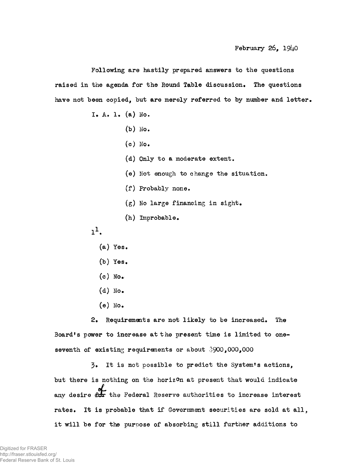**Following are hastily prepared answers to the questions raised in the agenda for the Round Table discussion. The questions have not been copied, but are merely referred to by number and letter.**

- **X. A. 1. (a) Ho\***
	- **(b) No.**
	- **(c) No.**
	- **(d) Only to a moderate extent.**
	- **(e) Not enough to change the situation**
	- **(f) Probably none**
	- **(g) No large financing in sight.**
	- **(h) Improbable.**
- $1<sup>1</sup>$ .
	- **(a) Yes.**
	- **(b) Yes.**
	- **(c) No.**
	- **(d) No.**
	- **(e) No.**

**2. Requirements are not likely to be increased. The Board's power to increase at the present time is limited to oneseventh of existing requirements or about 3900,000,000**

**3» It is not possible to predict the System's actions, but there is nothing on the horizon at present that would indicate any desire the Federal Reserve authorities to increase interest rates. It is probable that if Government securities are sold at all, it will be for the purpose of absorbing still further additions to**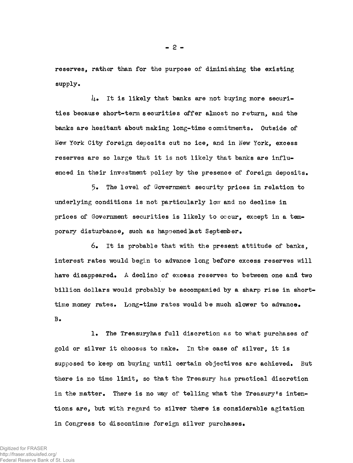**reserves, rather than for the purpose of diminishing the existing supply.**

**U. It is likely that banks are not buying more securities because short-term securities offer almost no return, and the banks are hesitant about making long-time commitments. Outside of New York City foreign deposits cut no ice, and in New York, excess reserves are so large that it is not likely that banks are influenced in their investment policy by the presence of foreign deposits.**

**5. The level of Government security prices in relation to underlying conditions is not particularly low and no decline in prices of Government securities is likely to occur, except in a temporary disturbance, such as happened]ast September.**

**6. It is probable that with the present attitude of banks, interest rates would begin to advance long before excess reserves will have disappeared. A decline of excess reserves to between one and two billion dollars would probably be accompanied by a sharp rise in shorttime money rates. Long-time rates would be much slower to advance. B.**

**1. The Treasuryhas full discretion as to what purchases of** gold or silver it chooses to make. In the case of silver, it is **supposed to keep on buying until certain objectives are achieved. But there is no time limit, so that the Treasury has practical discretion in the matter. There is no way of telling what the Treasury's intentions are, but with regard to silver there is considerable agitation in Congress to discontinue foreign silver purchases.**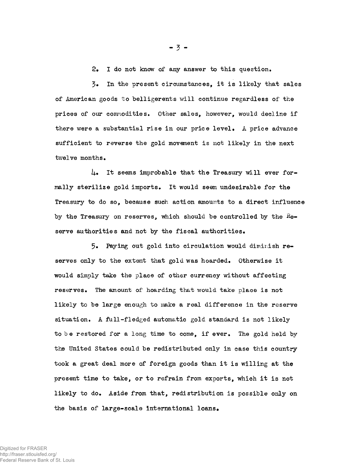**2, I do not know of any answer to this question.**

**3» In the present circumstances, it is likely that sales** of American goods to belligerents will continue regardless of the **prices of our commodities. Other sales, however, would decline if there were a substantial rise in our price level, A price advance sufficient to reverse the gold movement is not likely in the next twelve months.**

**I**4**.. It seems improbable that the Treasury will ever formally sterilize gold imports. It would seem undesirable for the Treasury to do so, because such action amounts to a direct influence** by the Treasury on reserves, which should be controlled by the Re**serve authorities and not by the fiscal authorities.**

**5. Paying out gold into circulation would diminish reserves only to the extent that gold was hoarded. Otherwise it would simply take the place of other currency without affecting reserves. The amount of hoarding that would take place is not likely to be large enough to make a real difference in the reserve situation. A full-fledged automatic gold standard is not likely** to be restored for a long time to come, if ever. The gold held by **the United States could be redistributed only in case this country took a great deal more of foreign goods than it is willing at the present time to take, or to refrain from exports, which it is not likely to do. Aside from that, redistribution is possible only on the basis of large-scale international loans.**

 $-3 -$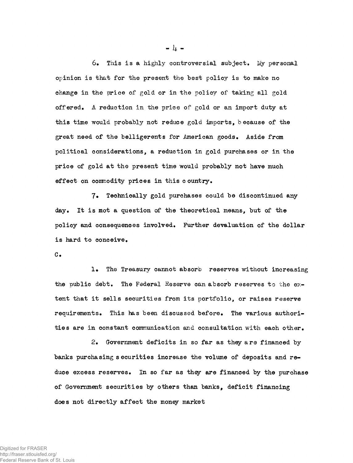**6. This is a highly controversial subject. My personal opinion is that for the present the best policy is to make no change in the price of gold or in the policy of taking all gold offered. A reduction in the price of gold or an import duty at** this time would probably not reduce gold imports, because of the **great need of the belligerents for American goods. Aside from political considerations, a reduction in gold purchases or in the price of gold at the present time would probably not have much effect on commodity prices in this c ountry.**

**7« Technically gold purchases could be discontinued any day. It is mot a question of the theoretical means, but of the policy and consequences involved. Further devaluation of the dollar** is hard to conceive.

**C.**

**1. The Treasury cannot absorb reserves without increasing** the public debt. The Federal Reserve can absorb reserves to the ex**tent that it sells securities from its portfolio, or raises reserve requirements. This has been discussed before. The various authorities are in constant communication and consultation with each other.**

**2. Government deficits in so far as they are financed by banks purchasing securities increase the volume of deposits and reduce excess reserves. In so far as they are financed by the purchase of Government securities by others than banks, deficit financing** does not directly affect the money market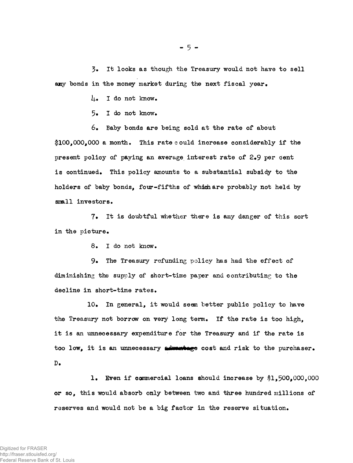**3» It looks as though the Treasury would not have to sell any bonds in the money market during the next fiscal year.**

**I).. I do not know.**

**5» I do not know.**

**6. Baby bonds are being sold at the rate of about 1100,000,000 a month. This rate could increase considerably if the present policy of paying an average interest rate of 2#9 per cent is continued. This policy amounts to a substantial subsidy to the holders of baby bonds, four-fifths of which are probably not held by smll investors.**

**7« It is doubtful whether there is any danger of this sort in the picture.**

**8. I do not know.**

**9» The Treasury refunding policy has had the effect of diminishing the supply of short-time paper and contributing to the decline in short-time rates.**

**10» In general, it would seem better public policy to have the Treasury not borrow on very long term. If the rate is too high, it is an unnecessary expenditure for the Treasury and if the rate is** too low, it is an unnecessary admentage cost and risk to the purchaser. **D.**

**1. Even if commercial loans should increase by \$1,500,000,000 or so, this would absorb only between two and three hundred millions of reserves and would not be a big factor in the reserve situation.**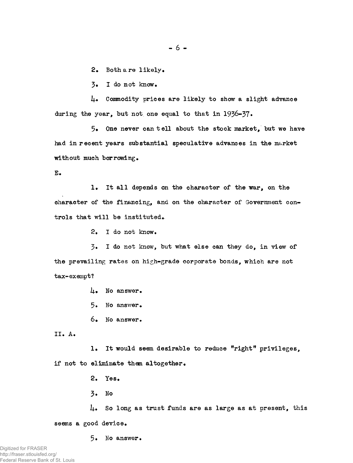$- 6 -$ 

**2. Both a re likely.**

**3. I do not know.**

**ij.. Commodity prices are likely to show a slight advance during the year, but not one equal to that in 1936-37•**

**5. One never can tell about the stock market, but we have had in recent years substantial speculative advances in the market without much borrowing.**

**E.**

**1. It all depends on the character of the war, on the character of the financing, and on the character of Government controls that will be instituted.**

**2. I do not know.**

**3» I do not know, but what else can they do, in view of the prevailing rates on high-grade corporate bonds, which are not tax-exempt?**

**i+. No answer.**

**5. No answer.**

**6\* No answer.**

**II. A.**

1. It would seem desirable to reduce "right" privileges, **if not to eliminate them altogether.**

**2. Yes.**

**3. No**

**J+. So long as trust funds are as large as at present, this seems a good device.**

**5. No answer.**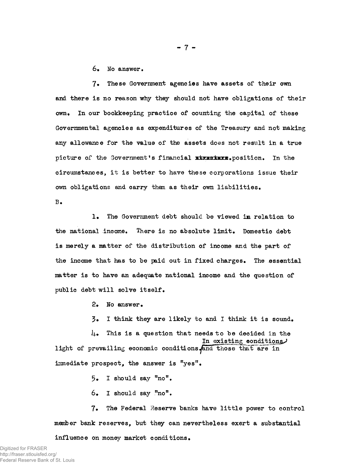**6, No answer.**

**7\* These Government agencies have assets of their own and there is no reason why they should not have obligations of their own. In our bookkeeping practice of counting the capital of these Governmental agencies as expenditures of the Treasury and not making any allowance for the value of the assets does not result in a true picture of the Government's financial x± hkx± b x b . position. In the circumstances, it is better to have these corporations issue their own obligations and carry them as their own liabilities.**

**B.**

**1. The Government debt should be viewed in relation to the national income. There is no absolute limit. Domestic debt is merely a matter of the distribution of income and the part of the income that has to be paid out in fixed charges. The essential matter is to have an adequate national income and the question of public debt will solve itself.**

**2. No answer.**

**3« I think they are likely to and I think it is sound.**

**ij.. This is a question that needs to be decided in the In existing conditional** light of prevailing economic conditions and those that are in **immediate prospect, the answer is "yes".**

**5. I should say "no".**

**6. I should say "no".**

**7. The Federal Heserve banks have little power to control member bank reserves, but they can nevertheless exert a substantial**

**influence on money market conditions.**